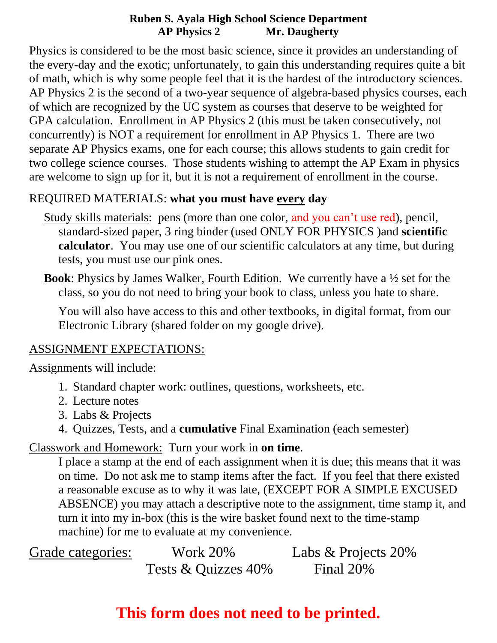Physics is considered to be the most basic science, since it provides an understanding of the every-day and the exotic; unfortunately, to gain this understanding requires quite a bit of math, which is why some people feel that it is the hardest of the introductory sciences. AP Physics 2 is the second of a two-year sequence of algebra-based physics courses, each of which are recognized by the UC system as courses that deserve to be weighted for GPA calculation. Enrollment in AP Physics 2 (this must be taken consecutively, not concurrently) is NOT a requirement for enrollment in AP Physics 1. There are two separate AP Physics exams, one for each course; this allows students to gain credit for two college science courses. Those students wishing to attempt the AP Exam in physics are welcome to sign up for it, but it is not a requirement of enrollment in the course.

#### REQUIRED MATERIALS: **what you must have every day**

- Study skills materials: pens (more than one color, and you can't use red), pencil, standard-sized paper, 3 ring binder (used ONLY FOR PHYSICS )and **scientific calculator**. You may use one of our scientific calculators at any time, but during tests, you must use our pink ones.
- **Book**: Physics by James Walker, Fourth Edition. We currently have a ½ set for the class, so you do not need to bring your book to class, unless you hate to share.

You will also have access to this and other textbooks, in digital format, from our Electronic Library (shared folder on my google drive).

#### ASSIGNMENT EXPECTATIONS:

Assignments will include:

- 1. Standard chapter work: outlines, questions, worksheets, etc.
- 2. Lecture notes
- 3. Labs & Projects
- 4. Quizzes, Tests, and a **cumulative** Final Examination (each semester)

Classwork and Homework: Turn your work in **on time**.

I place a stamp at the end of each assignment when it is due; this means that it was on time. Do not ask me to stamp items after the fact. If you feel that there existed a reasonable excuse as to why it was late, (EXCEPT FOR A SIMPLE EXCUSED ABSENCE) you may attach a descriptive note to the assignment, time stamp it, and turn it into my in-box (this is the wire basket found next to the time-stamp machine) for me to evaluate at my convenience.

Grade categories: Work 20% Labs & Projects 20% Tests & Quizzes 40% Final 20%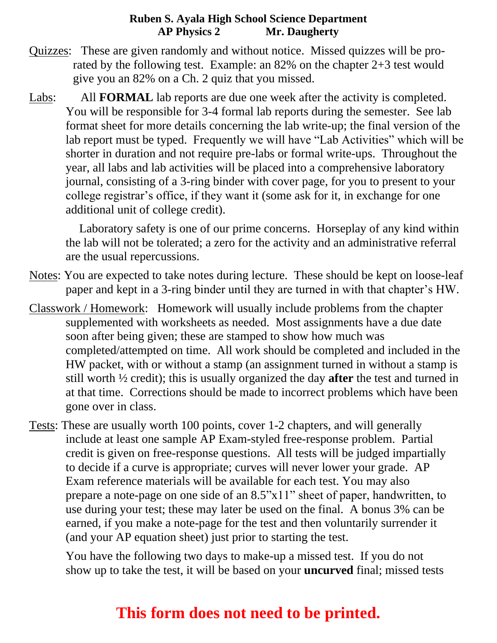- Quizzes: These are given randomly and without notice. Missed quizzes will be prorated by the following test. Example: an 82% on the chapter 2+3 test would give you an 82% on a Ch. 2 quiz that you missed.
- Labs: All **FORMAL** lab reports are due one week after the activity is completed. You will be responsible for 3-4 formal lab reports during the semester. See lab format sheet for more details concerning the lab write-up; the final version of the lab report must be typed. Frequently we will have "Lab Activities" which will be shorter in duration and not require pre-labs or formal write-ups. Throughout the year, all labs and lab activities will be placed into a comprehensive laboratory journal, consisting of a 3-ring binder with cover page, for you to present to your college registrar's office, if they want it (some ask for it, in exchange for one additional unit of college credit).

 Laboratory safety is one of our prime concerns. Horseplay of any kind within the lab will not be tolerated; a zero for the activity and an administrative referral are the usual repercussions.

- Notes: You are expected to take notes during lecture. These should be kept on loose-leaf paper and kept in a 3-ring binder until they are turned in with that chapter's HW.
- Classwork / Homework: Homework will usually include problems from the chapter supplemented with worksheets as needed. Most assignments have a due date soon after being given; these are stamped to show how much was completed/attempted on time. All work should be completed and included in the HW packet, with or without a stamp (an assignment turned in without a stamp is still worth ½ credit); this is usually organized the day **after** the test and turned in at that time. Corrections should be made to incorrect problems which have been gone over in class.
- Tests: These are usually worth 100 points, cover 1-2 chapters, and will generally include at least one sample AP Exam-styled free-response problem. Partial credit is given on free-response questions. All tests will be judged impartially to decide if a curve is appropriate; curves will never lower your grade. AP Exam reference materials will be available for each test. You may also prepare a note-page on one side of an 8.5"x11" sheet of paper, handwritten, to use during your test; these may later be used on the final. A bonus 3% can be earned, if you make a note-page for the test and then voluntarily surrender it (and your AP equation sheet) just prior to starting the test.

You have the following two days to make-up a missed test. If you do not show up to take the test, it will be based on your **uncurved** final; missed tests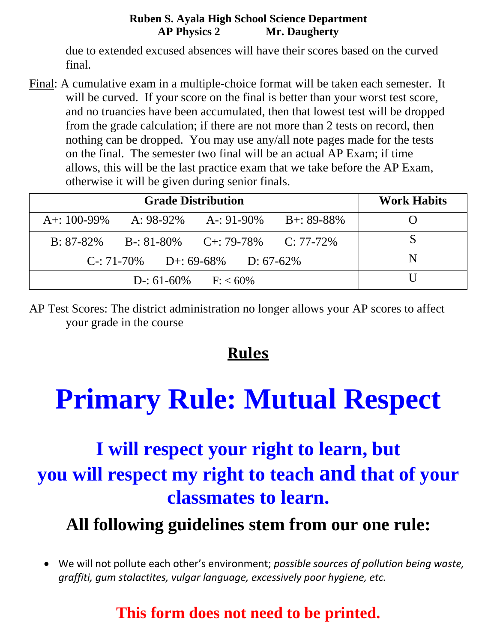due to extended excused absences will have their scores based on the curved final.

Final: A cumulative exam in a multiple-choice format will be taken each semester. It will be curved. If your score on the final is better than your worst test score, and no truancies have been accumulated, then that lowest test will be dropped from the grade calculation; if there are not more than 2 tests on record, then nothing can be dropped. You may use any/all note pages made for the tests on the final. The semester two final will be an actual AP Exam; if time allows, this will be the last practice exam that we take before the AP Exam, otherwise it will be given during senior finals.

| <b>Grade Distribution</b>         |  |                                      |                | <b>Work Habits</b> |
|-----------------------------------|--|--------------------------------------|----------------|--------------------|
| $A + 100 - 99\%$                  |  | A: $98-92\%$ A-: $91-90\%$           | $B + 89 - 88%$ |                    |
| $B: 87-82\%$                      |  | $B-31-80\%$ $C+39-78\%$ $C: 77-72\%$ |                |                    |
| $C: 71-70\%$ D+: 69-68% D: 67-62% |  |                                      |                | N                  |
| $D-$ : 61-60% $F: < 60\%$         |  |                                      |                |                    |

AP Test Scores: The district administration no longer allows your AP scores to affect your grade in the course

### **Rules**

# **Primary Rule: Mutual Respect**

## **I will respect your right to learn, but you will respect my right to teach and that of your classmates to learn.**

### **All following guidelines stem from our one rule:**

• We will not pollute each other's environment; *possible sources of pollution being waste, graffiti, gum stalactites, vulgar language, excessively poor hygiene, etc.*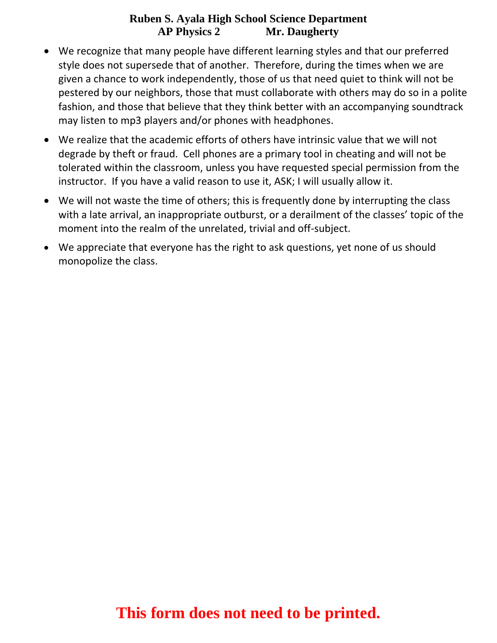- We recognize that many people have different learning styles and that our preferred style does not supersede that of another. Therefore, during the times when we are given a chance to work independently, those of us that need quiet to think will not be pestered by our neighbors, those that must collaborate with others may do so in a polite fashion, and those that believe that they think better with an accompanying soundtrack may listen to mp3 players and/or phones with headphones.
- We realize that the academic efforts of others have intrinsic value that we will not degrade by theft or fraud. Cell phones are a primary tool in cheating and will not be tolerated within the classroom, unless you have requested special permission from the instructor. If you have a valid reason to use it, ASK; I will usually allow it.
- We will not waste the time of others; this is frequently done by interrupting the class with a late arrival, an inappropriate outburst, or a derailment of the classes' topic of the moment into the realm of the unrelated, trivial and off-subject.
- We appreciate that everyone has the right to ask questions, yet none of us should monopolize the class.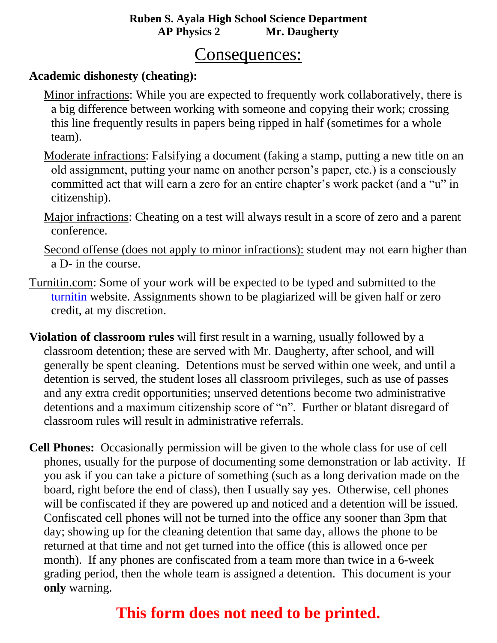#### Consequences:

#### **Academic dishonesty (cheating):**

- Minor infractions: While you are expected to frequently work collaboratively, there is a big difference between working with someone and copying their work; crossing this line frequently results in papers being ripped in half (sometimes for a whole team).
- Moderate infractions: Falsifying a document (faking a stamp, putting a new title on an old assignment, putting your name on another person's paper, etc.) is a consciously committed act that will earn a zero for an entire chapter's work packet (and a "u" in citizenship).
- Major infractions: Cheating on a test will always result in a score of zero and a parent conference.
- Second offense (does not apply to minor infractions): student may not earn higher than a D- in the course.
- Turnitin.com: Some of your work will be expected to be typed and submitted to the [turnitin](file:///C:/Documents%20and%20Settings/Scott%20Carter/My%20Documents/My%20Dropbox/Filing%20Cabinet/AP%20Physics%20B/turnitin.com) website. Assignments shown to be plagiarized will be given half or zero credit, at my discretion.
- **Violation of classroom rules** will first result in a warning, usually followed by a classroom detention; these are served with Mr. Daugherty, after school, and will generally be spent cleaning. Detentions must be served within one week, and until a detention is served, the student loses all classroom privileges, such as use of passes and any extra credit opportunities; unserved detentions become two administrative detentions and a maximum citizenship score of "n". Further or blatant disregard of classroom rules will result in administrative referrals.
- **Cell Phones:** Occasionally permission will be given to the whole class for use of cell phones, usually for the purpose of documenting some demonstration or lab activity. If you ask if you can take a picture of something (such as a long derivation made on the board, right before the end of class), then I usually say yes. Otherwise, cell phones will be confiscated if they are powered up and noticed and a detention will be issued. Confiscated cell phones will not be turned into the office any sooner than 3pm that day; showing up for the cleaning detention that same day, allows the phone to be returned at that time and not get turned into the office (this is allowed once per month). If any phones are confiscated from a team more than twice in a 6-week grading period, then the whole team is assigned a detention. This document is your **only** warning.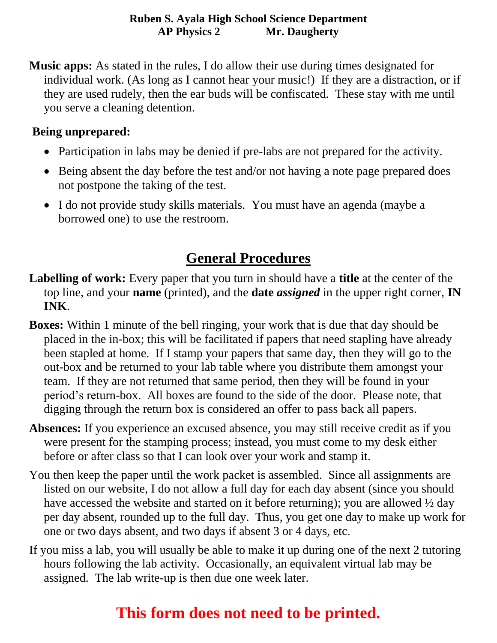**Music apps:** As stated in the rules, I do allow their use during times designated for individual work. (As long as I cannot hear your music!) If they are a distraction, or if they are used rudely, then the ear buds will be confiscated. These stay with me until you serve a cleaning detention.

#### **Being unprepared:**

- Participation in labs may be denied if pre-labs are not prepared for the activity.
- Being absent the day before the test and/or not having a note page prepared does not postpone the taking of the test.
- I do not provide study skills materials. You must have an agenda (maybe a borrowed one) to use the restroom.

### **General Procedures**

- **Labelling of work:** Every paper that you turn in should have a **title** at the center of the top line, and your **name** (printed), and the **date** *assigned* in the upper right corner, **IN INK**.
- **Boxes:** Within 1 minute of the bell ringing, your work that is due that day should be placed in the in-box; this will be facilitated if papers that need stapling have already been stapled at home. If I stamp your papers that same day, then they will go to the out-box and be returned to your lab table where you distribute them amongst your team. If they are not returned that same period, then they will be found in your period's return-box. All boxes are found to the side of the door. Please note, that digging through the return box is considered an offer to pass back all papers.
- **Absences:** If you experience an excused absence, you may still receive credit as if you were present for the stamping process; instead, you must come to my desk either before or after class so that I can look over your work and stamp it.
- You then keep the paper until the work packet is assembled. Since all assignments are listed on our website, I do not allow a full day for each day absent (since you should have accessed the website and started on it before returning); you are allowed ½ day per day absent, rounded up to the full day. Thus, you get one day to make up work for one or two days absent, and two days if absent 3 or 4 days, etc.
- If you miss a lab, you will usually be able to make it up during one of the next 2 tutoring hours following the lab activity. Occasionally, an equivalent virtual lab may be assigned. The lab write-up is then due one week later.